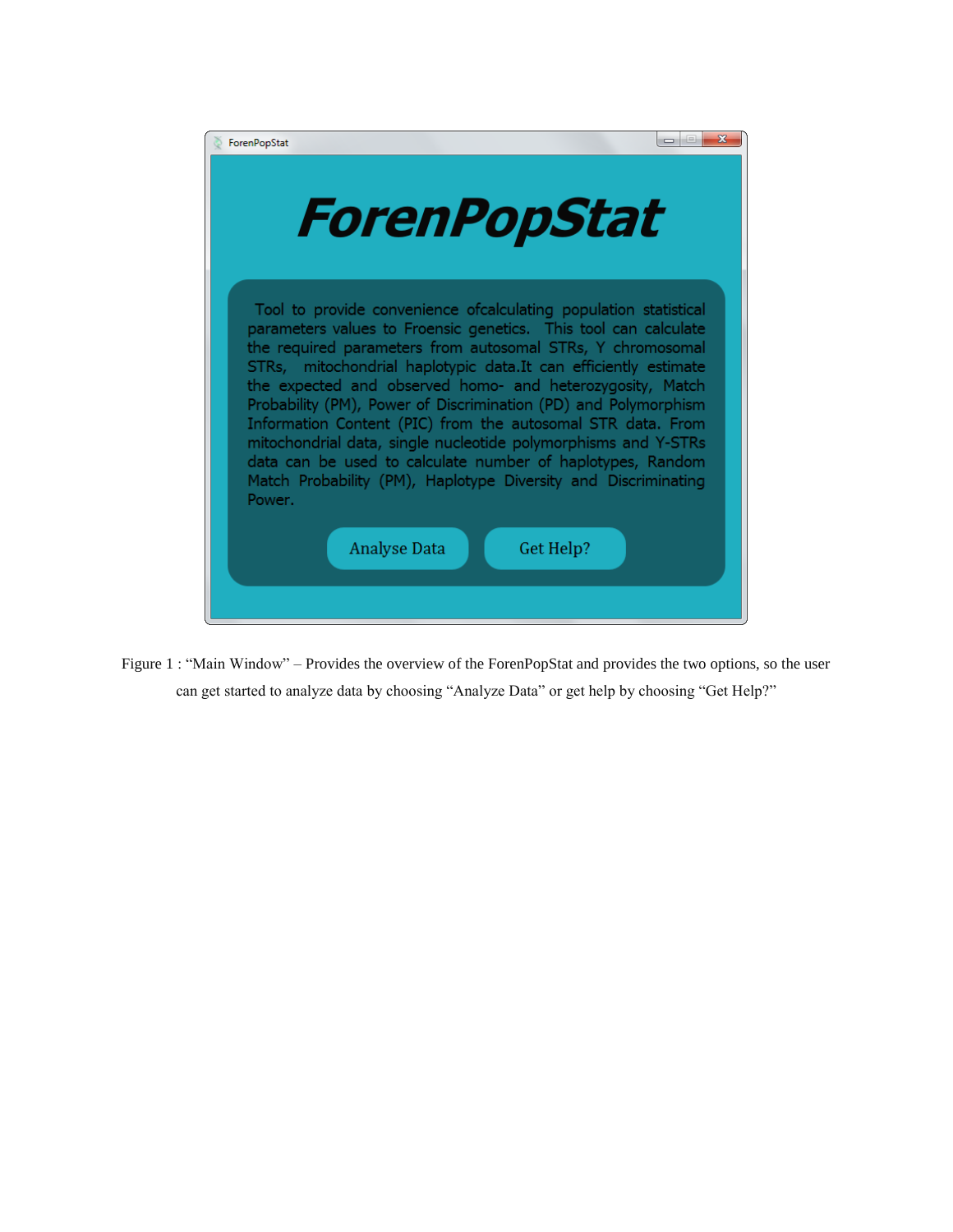| х<br>ForenPopStat<br>$\Box$                                                                                                                                                                                                                                                                                                                                                                                                                                                                                                                                                                                                                                                                                          |  |  |
|----------------------------------------------------------------------------------------------------------------------------------------------------------------------------------------------------------------------------------------------------------------------------------------------------------------------------------------------------------------------------------------------------------------------------------------------------------------------------------------------------------------------------------------------------------------------------------------------------------------------------------------------------------------------------------------------------------------------|--|--|
| ForenPopStat                                                                                                                                                                                                                                                                                                                                                                                                                                                                                                                                                                                                                                                                                                         |  |  |
| Tool to provide convenience of calculating population statistical<br>parameters values to Froensic genetics. This tool can calculate<br>the required parameters from autosomal STRs, Y chromosomal<br>STRs, mitochondrial haplotypic data.It can efficiently estimate<br>the expected and observed homo- and heterozygosity, Match<br>Probability (PM), Power of Discrimination (PD) and Polymorphism<br>Information Content (PIC) from the autosomal STR data. From<br>mitochondrial data, single nucleotide polymorphisms and Y-STRs<br>data can be used to calculate number of haplotypes, Random<br>Match Probability (PM), Haplotype Diversity and Discriminating<br>Power.<br><b>Analyse Data</b><br>Get Help? |  |  |

Figure 1 : "Main Window" – Provides the overview of the ForenPopStat and provides the two options, so the user can get started to analyze data by choosing "Analyze Data" or get help by choosing "Get Help?"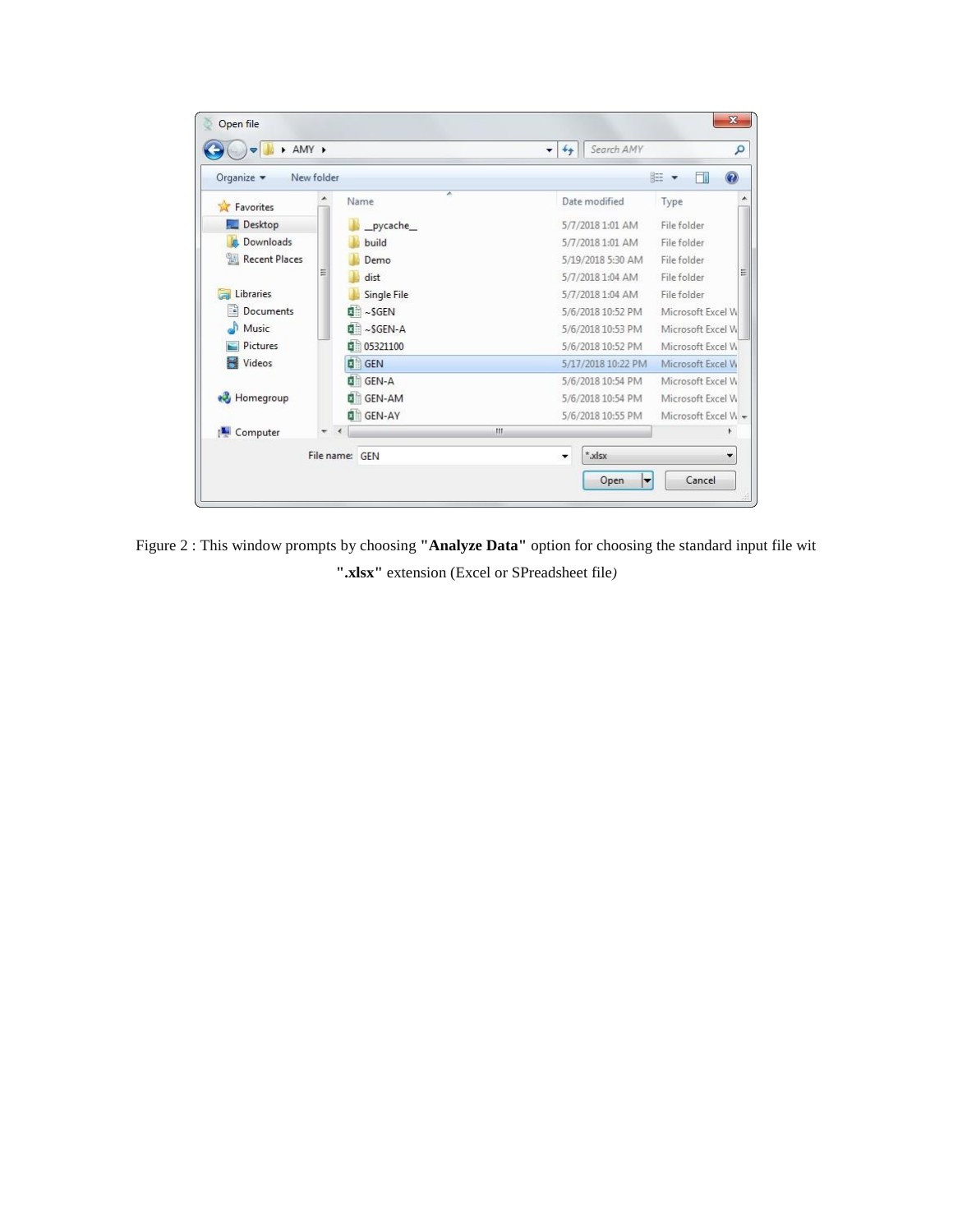

Figure 2 : This window prompts by choosing **"Analyze Data"** option for choosing the standard input file wit **".xlsx"** extension (Excel or SPreadsheet file*)*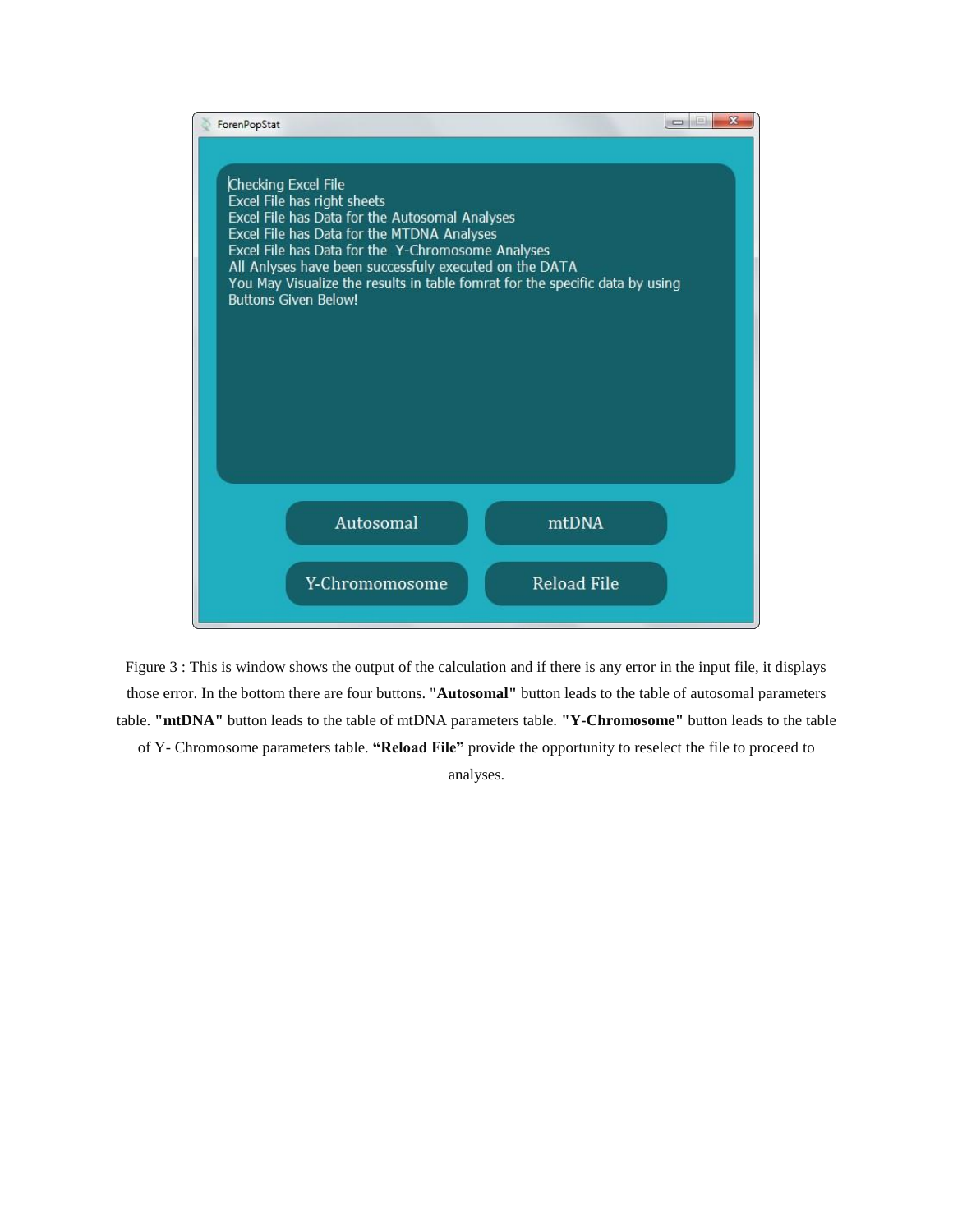

Figure 3 : This is window shows the output of the calculation and if there is any error in the input file, it displays those error. In the bottom there are four buttons. "**Autosomal"** button leads to the table of autosomal parameters table. **"mtDNA"** button leads to the table of mtDNA parameters table. **"Y-Chromosome"** button leads to the table of Y- Chromosome parameters table. **"Reload File"** provide the opportunity to reselect the file to proceed to analyses.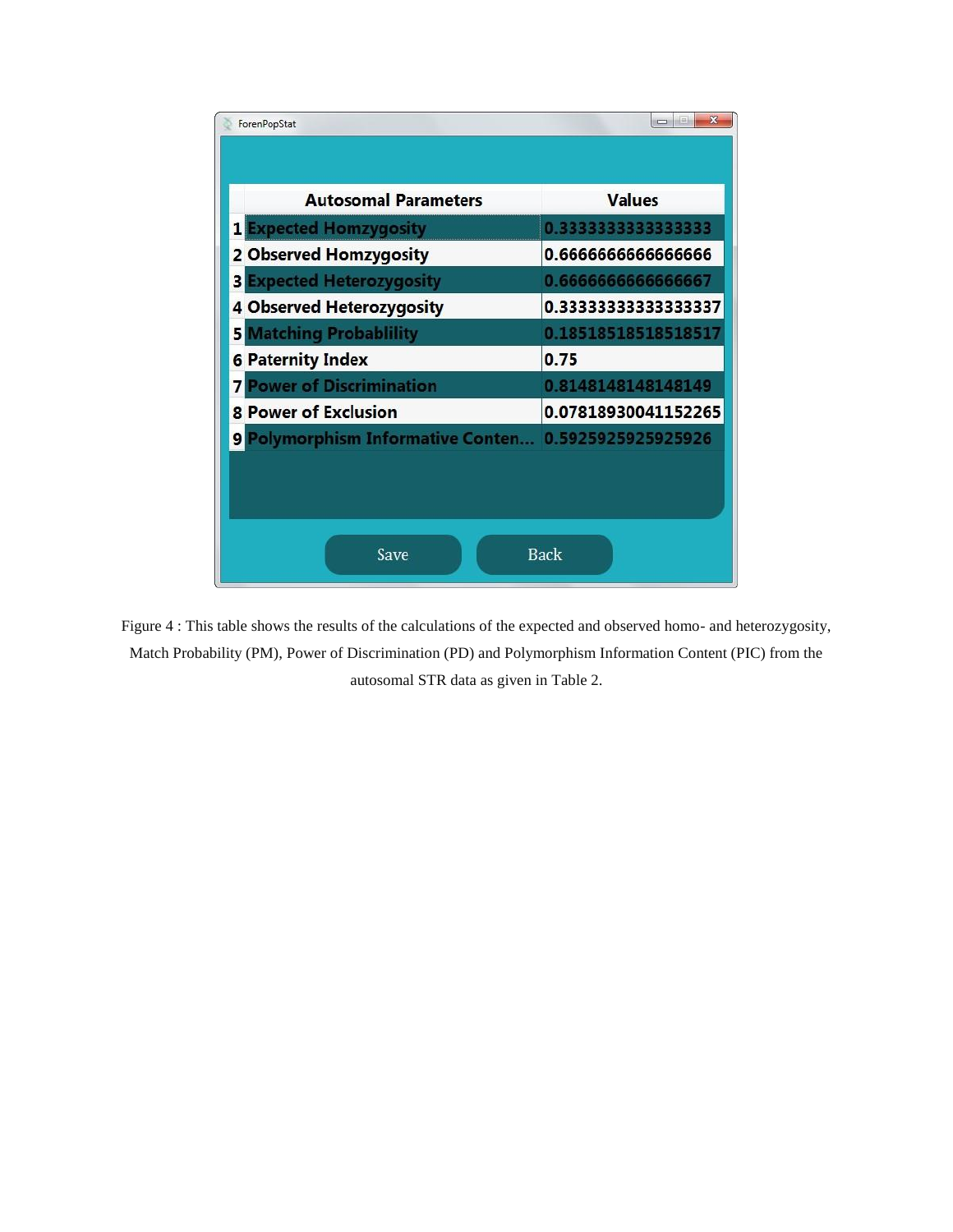| $\mathbf{x}$<br>$\equiv$<br>ForenPopStat           |                     |  |
|----------------------------------------------------|---------------------|--|
|                                                    |                     |  |
| <b>Autosomal Parameters</b>                        | <b>Values</b>       |  |
| <b>Expected Homzygosity</b>                        | 0.333333333333333   |  |
| 2 Observed Homzygosity                             | 0.666666666666666   |  |
| <b>Expected Heterozygosity</b><br>3                | 0.666666666666667   |  |
| 4 Observed Heterozygosity                          | 0.3333333333333337  |  |
| <b>Matching Probablility</b><br>51                 | 0.18518518518518517 |  |
| <b>6 Paternity Index</b>                           | 0.75                |  |
| <b>Power of Discrimination</b>                     | 0.8148148148148149  |  |
| <b>8 Power of Exclusion</b>                        | 0.07818930041152265 |  |
| Polymorphism Informative Conten 0.5925925925925926 |                     |  |
|                                                    |                     |  |
|                                                    |                     |  |
|                                                    |                     |  |
| <b>Back</b><br>Save                                |                     |  |
|                                                    |                     |  |

Figure 4 : This table shows the results of the calculations of the expected and observed homo- and heterozygosity, Match Probability (PM), Power of Discrimination (PD) and Polymorphism Information Content (PIC) from the autosomal STR data as given in Table 2.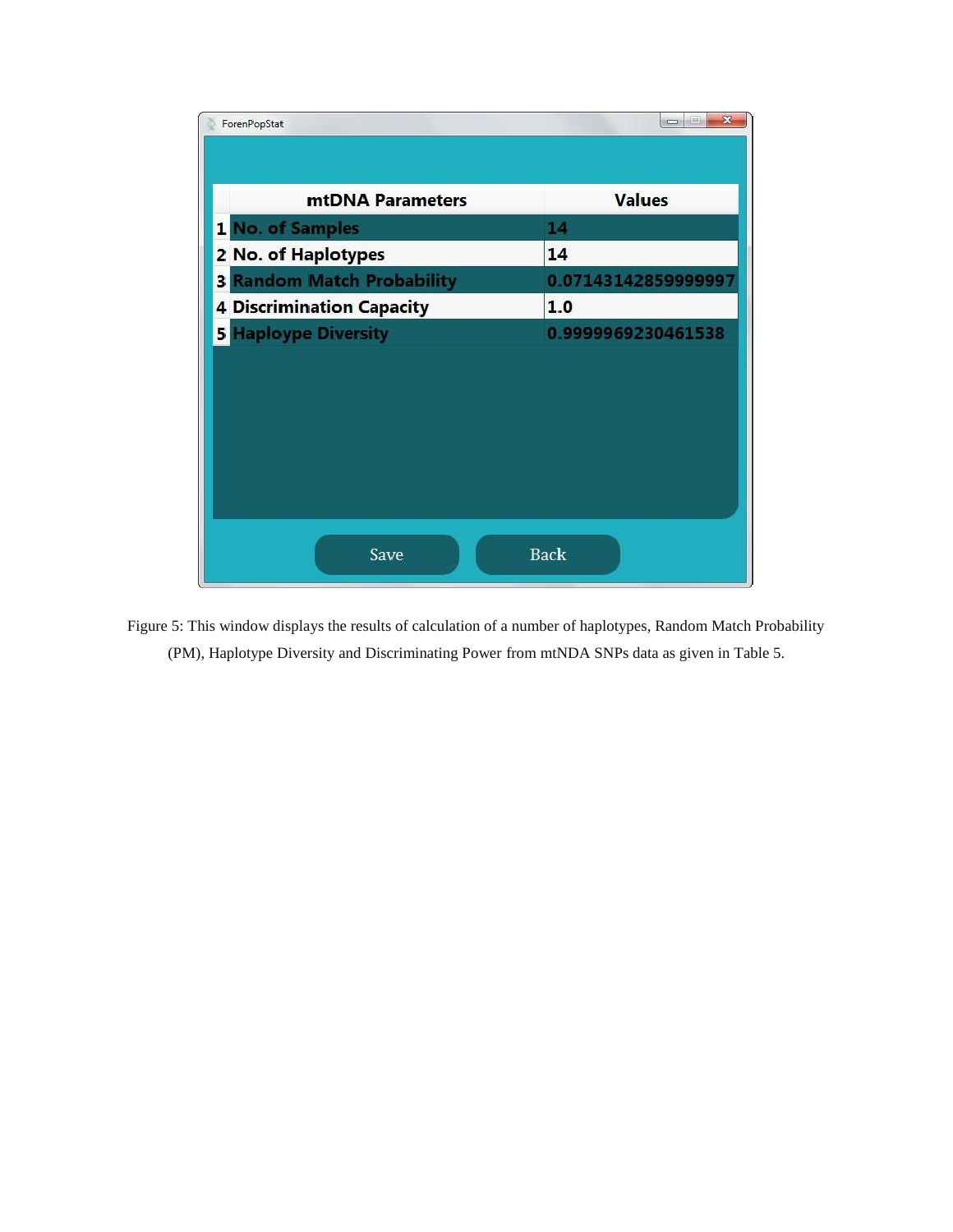

Figure 5: This window displays the results of calculation of a number of haplotypes, Random Match Probability (PM), Haplotype Diversity and Discriminating Power from mtNDA SNPs data as given in Table 5.